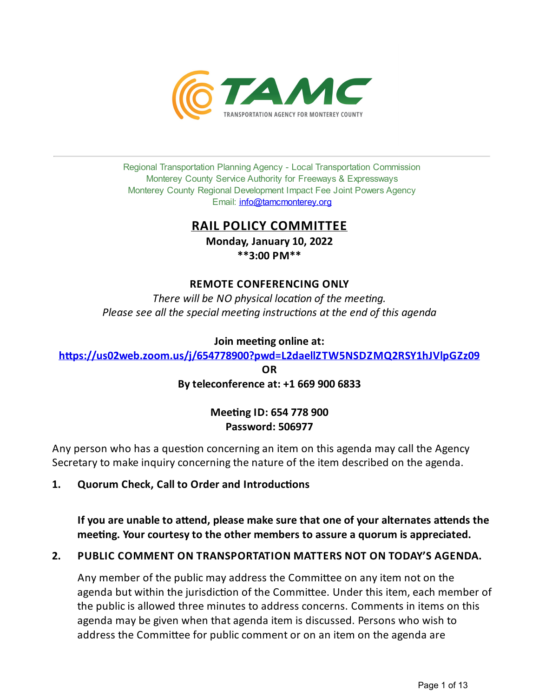

Regional Transportation Planning Agency - Local Transportation Commission Monterey County Service Authority for Freeways & Expressways Monterey County Regional Development Impact Fee Joint Powers Agency Email: *[info@tamcmonterey.org](file:///C:/Windows/TEMP/info@tamcmonterey.org)* 

## **RAIL POLICY COMMITTEE**

**Monday, January 10, 2022 \*\*3:00 PM\*\***

## **REMOTE CONFERENCING ONLY**

*There* will be NO physical location of the meeting. *Please see* all the *special* meeting *instructions* at the end of this agenda

**Join** meeting online at:

**[h'ps://us02web.zoom.us/j/654778900?pwd=L2daellZTW5NSDZMQ2RSY1hJVlpGZz09](https://us02web.zoom.us/j/654778900?pwd=L2daellZTW5NSDZMQ2RSY1hJVlpGZz09)**

**OR Byteleconference at: +1 669 900 6833**

## **Meeting ID: 654 778 900 Password: 506977**

Any person who has a question concerning an item on this agenda may call the Agency Secretary to make inquiry concerning the nature of the item described on the agenda.

**1. Quorum Check, Call to Order and Introduc"ons**

**Ifyou are unable to a'end, please make sure that one ofyour alternates a'ends the mee"ng. Your courtesyto the other members to assure a quorum is appreciated.**

## **2. PUBLIC COMMENT ON TRANSPORTATION MATTERS NOT ON TODAY'S AGENDA.**

Any member of the public may address the Committee on any item not on the agenda but within the jurisdiction of the Committee. Under this item, each member of the public is allowed three minutes to address concerns. Comments in items on this agenda may be given when that agenda item is discussed. Persons who wish to address the Committee for public comment or on an item on the agenda are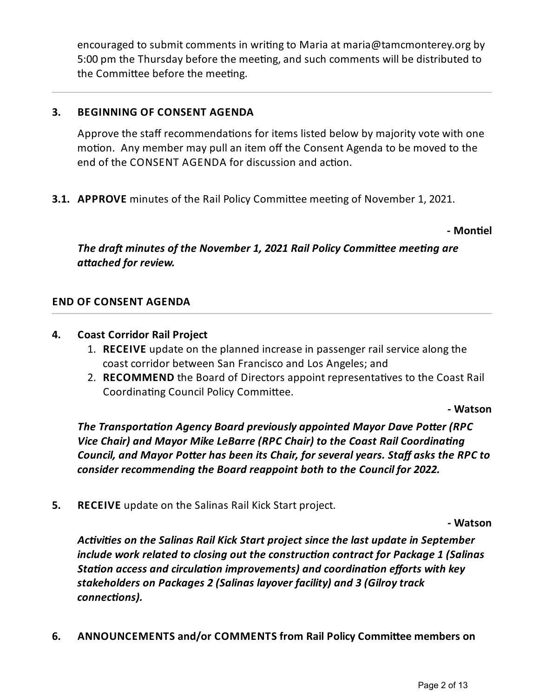encouraged to submit comments in writing to Maria at maria@tamcmonterey.org by 5:00 pm the Thursday before the meeting, and such comments will be distributed to the Committee before the meeting.

## **3. BEGINNING OF CONSENT AGENDA**

Approve the staff recommendations for items listed below by majority vote with one motion. Any member may pull an item off the Consent Agenda to be moved to the end of the CONSENT AGENDA for discussion and action.

**3.1. APPROVE** minutes of the Rail Policy Committee meeting of November 1, 2021.

**- Mon"el**

*The draft minutes of the November* 1, 2021 *Rail Policy Committee meeting are*  $a$ *ttached for review.* 

## **END OF CONSENT AGENDA**

## **4. Coast Corridor Rail Project**

- 1. **RECEIVE** update on the planned increase in passenger rail service alongthe coast corridor between San Francisco and Los Angeles;and
- 2. **RECOMMEND** the Board of Directors appoint representatives to the Coast Rail Coordinating Council Policy Committee.

**- Watson**

*The Transportation Agency Board previously appointed Mayor Dave Potter (RPC*) *Vice Chair) and Mayor Mike LeBarre(RPC Chair) to the Coast Rail Coordinang Council, and Mayor Poer has been its Chair, for severalyears. Staff asks the RPC to consider recommending the Board reappoint both to the Council for 2022.*

**5. RECEIVE** update on the Salinas Rail Kick Start project.

**- Watson**

*Activities* on the Salinas Rail Kick Start project since the last update in September *include work related to closing out theconstrucon contract for Package 1 (Salinas Station access and circulation improvements) and coordination efforts with key stakeholders on Packages 2 (Salinas layover facility) and 3 (Gilroytrack*  $connections$ ).

**6. ANNOUNCEMENTS and/or COMMENTS from Rail Policy Commi'ee members on**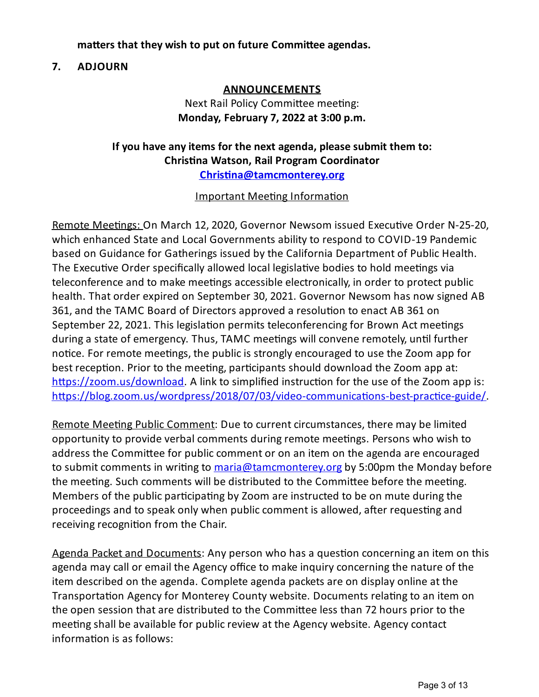## **ma'ers that they wish to put on future Commi'ee agendas.**

## **7. ADJOURN**

## **ANNOUNCEMENTS**

## Next Rail Policy Committee meeting: **Monday, February 7, 2022 at 3:00 p.m.**

## **Ifyou have anyitems for the next agenda, please submit them to: Chris"na Watson, Rail Program Coordinator Christina@tamcmonterey.org**

## Important Meeting Information

Remote Meetings: On March 12, 2020, Governor Newsom issued Executive Order N-25-20, which enhanced State and Local Governments ability to respond to COVID-19 Pandemic based on Guidance for Gatherings issued by the California Department of Public Health. The Executive Order specifically allowed local legislative bodies to hold meetings via teleconference and to make meetings accessible electronically, in order to protect public health. That order expired on September 30, 2021. Governor Newsom has now signed AB 361, and the TAMC Board of Directors approved a resolution to enact AB 361 on September 22, 2021. This legislation permits teleconferencing for Brown Act meetings during a state of emergency. Thus, TAMC meetings will convene remotely, until further notice. For remote meetings, the public is strongly encouraged to use the Zoom app for best reception. Prior to the meeting, participants should download the Zoom app at:  $\frac{https://zoom.us/download. A link to simplified instruction for the use of the Zoom app is:$ https://blog.zoom.us/wordpress/2018/07/03/video-communications-best-practice-guide/

Remote Meeting Public Comment: Due to current circumstances, there may be limited opportunity to provide verbal comments during remote meetings. Persons who wish to address the Committee for public comment or on an item on the agenda are encouraged to submit comments in writing to [maria@tamcmonterey.org](mailto:maria@tamcmonterey.org) by 5:00pm the Monday before the meeting. Such comments will be distributed to the Committee before the meeting. Members of the public participating by Zoom are instructed to be on mute during the proceedings and to speak only when public comment is allowed, after requesting and receiving recognition from the Chair.

Agenda Packet and Documents: Any person who has a question concerning an item on this agenda may call or email the Agency office to make inquiry concerning the nature of the item described on the agenda. Complete agenda packets are on display online at the Transportation Agency for Monterey County website. Documents relating to an item on the open session that are distributed to the Committee less than 72 hours prior to the meeting shall be available for public review at the Agency website. Agency contact information is as follows: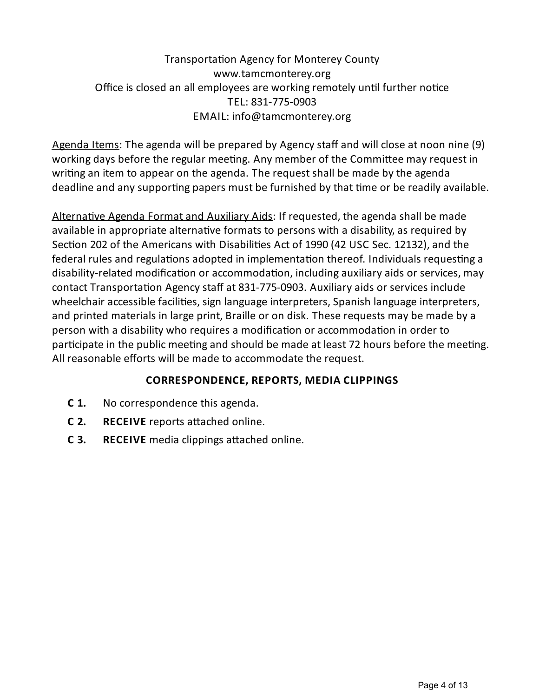## Transportation Agency for Monterey County www.tamcmonterey.org Office is closed an all employees are working remotely until further notice TEL: 831-775-0903 EMAIL: info@tamcmonterey.org

Agenda Items: The agenda will be prepared by Agency staff and will close at noon nine (9) working days before the regular meeting. Any member of the Committee may request in writing an item to appear on the agenda. The request shall be made by the agenda deadline and any supporting papers must be furnished by that time or be readily available.

Alternative Agenda Format and Auxiliary Aids: If requested, the agenda shall be made available in appropriate alternative formats to persons with a disability, as required by Section 202 of the Americans with Disabilities Act of 1990 (42 USC Sec. 12132), and the federal rules and regulations adopted in implementation thereof. Individuals requesting a disability-related modification or accommodation, including auxiliary aids or services, may contact Transportation Agency staff at 831-775-0903. Auxiliary aids or services include wheelchair accessible facilities, sign language interpreters, Spanish language interpreters, and printed materials in large print, Braille or on disk. These requests may be made by a person with a disability who requires a modification or accommodation in order to participate in the public meeting and should be made at least 72 hours before the meeting. All reasonable efforts will be made to accommodate the request.

## **CORRESPONDENCE, REPORTS, MEDIA CLIPPINGS**

- **C 1.** No correspondence this agenda.
- **C 2. RECEIVE** reports attached online.
- **C 3. RECEIVE** media clippings attached online.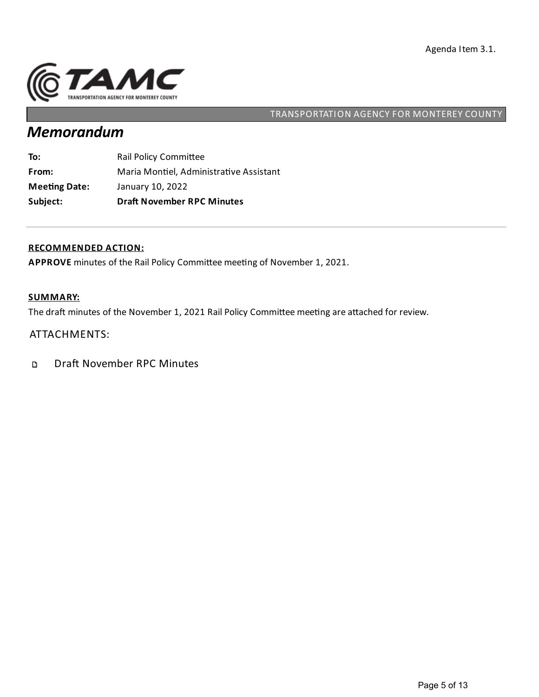

# *Memorandum*

| Subject:             | <b>Draft November RPC Minutes</b>       |
|----------------------|-----------------------------------------|
| <b>Meeting Date:</b> | January 10, 2022                        |
| From:                | Maria Montiel, Administrative Assistant |
| To:                  | Rail Policy Committee                   |

#### **RECOMMENDED ACTION:**

APPROVE minutes of the Rail Policy Committee meeting of November 1, 2021.

### **SUMMARY:**

The draft minutes of the November 1, 2021 Rail Policy Committee meeting are attached for review.

## ATTACHMENTS:

Draft November RPC Minutes  $\mathbf D$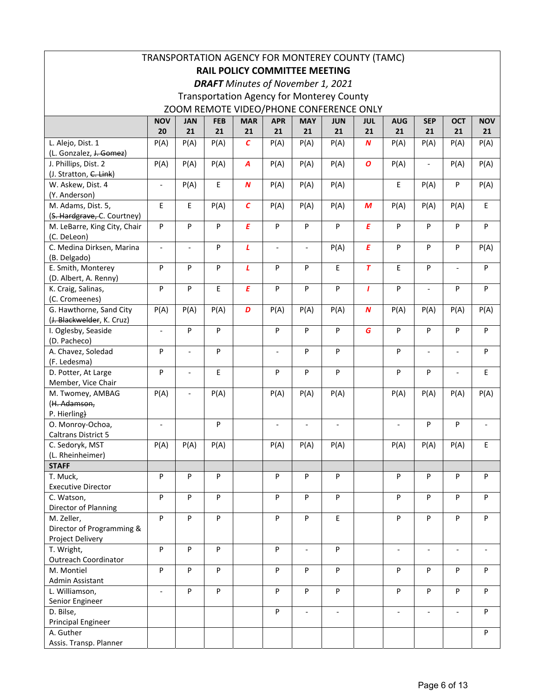| TRANSPORTATION AGENCY FOR MONTEREY COUNTY (TAMC)<br><b>RAIL POLICY COMMITTEE MEETING</b> |                          |                          |             |                   |                          |                          |                          |                  |                          |                              |                          |                          |
|------------------------------------------------------------------------------------------|--------------------------|--------------------------|-------------|-------------------|--------------------------|--------------------------|--------------------------|------------------|--------------------------|------------------------------|--------------------------|--------------------------|
| <b>DRAFT</b> Minutes of November 1, 2021                                                 |                          |                          |             |                   |                          |                          |                          |                  |                          |                              |                          |                          |
| <b>Transportation Agency for Monterey County</b>                                         |                          |                          |             |                   |                          |                          |                          |                  |                          |                              |                          |                          |
| ZOOM REMOTE VIDEO/PHONE CONFERENCE ONLY                                                  |                          |                          |             |                   |                          |                          |                          |                  |                          |                              |                          |                          |
|                                                                                          | <b>NOV</b>               | <b>JAN</b>               | <b>FEB</b>  | <b>MAR</b>        | <b>APR</b>               | <b>MAY</b>               | <b>JUN</b>               | <b>JUL</b>       | <b>AUG</b>               | <b>SEP</b>                   | <b>OCT</b>               | <b>NOV</b>               |
|                                                                                          | 20                       | 21                       | 21          | 21                | 21                       | 21                       | 21                       | 21               | 21                       | 21                           | 21                       | 21                       |
| L. Alejo, Dist. 1                                                                        | P(A)                     | P(A)                     | P(A)        | $\mathcal{C}_{0}$ | P(A)                     | P(A)                     | P(A)                     | $\boldsymbol{N}$ | P(A)                     | P(A)                         | P(A)                     | P(A)                     |
| (L. Gonzalez, J. Gomez)                                                                  |                          |                          |             |                   |                          |                          |                          |                  |                          |                              |                          |                          |
| J. Phillips, Dist. 2<br>(J. Stratton, C. Link)                                           | P(A)                     | P(A)                     | P(A)        | A                 | P(A)                     | P(A)                     | P(A)                     | $\boldsymbol{o}$ | P(A)                     | $\overline{\phantom{m}}$     | P(A)                     | P(A)                     |
| W. Askew, Dist. 4                                                                        | $\overline{\phantom{a}}$ | P(A)                     | $\mathsf E$ | $\boldsymbol{N}$  | P(A)                     | P(A)                     | P(A)                     |                  | E                        | P(A)                         | P                        | P(A)                     |
| (Y. Anderson)                                                                            |                          |                          |             |                   |                          |                          |                          |                  |                          |                              |                          |                          |
| M. Adams, Dist. 5,                                                                       | E                        | E                        | P(A)        | $\mathcal{C}$     | P(A)                     | P(A)                     | P(A)                     | M                | P(A)                     | P(A)                         | P(A)                     | Е                        |
| (S. Hardgrave, C. Courtney)                                                              |                          |                          |             |                   |                          |                          |                          |                  |                          |                              |                          |                          |
| M. LeBarre, King City, Chair<br>(C. DeLeon)                                              | P                        | P                        | ${\sf P}$   | E                 | P                        | P                        | P                        | E                | P                        | P                            | P                        | P                        |
| C. Medina Dirksen, Marina                                                                | $\overline{\phantom{a}}$ |                          | ${\sf P}$   | $\mathbf{r}$      | $\overline{a}$           | $\blacksquare$           | P(A)                     | E                | P                        | P                            | P                        | P(A)                     |
| (B. Delgado)                                                                             |                          |                          |             |                   |                          |                          |                          |                  |                          |                              |                          |                          |
| E. Smith, Monterey<br>(D. Albert, A. Renny)                                              | P                        | P                        | P           | L                 | P                        | P                        | E                        | $\overline{T}$   | E                        | P                            |                          | P                        |
| K. Craig, Salinas,                                                                       | P                        | P                        | E           | E                 | P                        | P                        | P                        | $\mathbf{I}$     | P                        |                              | P                        | P                        |
| (C. Cromeenes)                                                                           |                          |                          |             |                   |                          |                          |                          |                  |                          |                              |                          |                          |
| G. Hawthorne, Sand City                                                                  | P(A)                     | P(A)                     | P(A)        | D                 | P(A)                     | P(A)                     | P(A)                     | $\boldsymbol{N}$ | P(A)                     | P(A)                         | P(A)                     | P(A)                     |
| (J. Blackwelder, K. Cruz)                                                                |                          |                          |             |                   |                          |                          |                          |                  |                          |                              |                          |                          |
| I. Oglesby, Seaside                                                                      | $\mathcal{L}$            | P                        | ${\sf P}$   |                   | P                        | P                        | P                        | G                | P                        | P                            | P                        | ${\sf P}$                |
| (D. Pacheco)                                                                             |                          |                          |             |                   |                          |                          |                          |                  |                          |                              |                          |                          |
| A. Chavez, Soledad                                                                       | P                        |                          | ${\sf P}$   |                   | $\blacksquare$           | P                        | P                        |                  | P                        | $\overline{\phantom{a}}$     | $\overline{a}$           | P                        |
| (F. Ledesma)                                                                             |                          |                          |             |                   |                          |                          |                          |                  |                          |                              |                          |                          |
| D. Potter, At Large                                                                      | P                        | $\overline{\phantom{a}}$ | E           |                   | P                        | P                        | P                        |                  | P                        | ${\sf P}$                    | $\overline{\phantom{a}}$ | Е                        |
| Member, Vice Chair                                                                       |                          |                          |             |                   |                          |                          |                          |                  |                          |                              |                          |                          |
| M. Twomey, AMBAG<br>(H. Adamson,                                                         | P(A)                     |                          | P(A)        |                   | P(A)                     | P(A)                     | P(A)                     |                  | P(A)                     | P(A)                         | P(A)                     | P(A)                     |
| P. Hierling)                                                                             |                          |                          |             |                   |                          |                          |                          |                  |                          |                              |                          |                          |
| O. Monroy-Ochoa,                                                                         | $\overline{\phantom{a}}$ |                          | ${\sf P}$   |                   | $\overline{\phantom{a}}$ | $\overline{\phantom{a}}$ | $\overline{\phantom{a}}$ |                  | $\overline{\phantom{a}}$ | P                            | P                        | $\overline{a}$           |
| Caltrans District 5                                                                      |                          |                          |             |                   |                          |                          |                          |                  |                          |                              |                          |                          |
| C. Sedoryk, MST                                                                          | P(A)                     | P(A)                     | P(A)        |                   | P(A)                     | P(A)                     | P(A)                     |                  | P(A)                     | P(A)                         | P(A)                     | Е                        |
| (L. Rheinheimer)                                                                         |                          |                          |             |                   |                          |                          |                          |                  |                          |                              |                          |                          |
| <b>STAFF</b>                                                                             |                          |                          |             |                   |                          |                          |                          |                  |                          |                              |                          |                          |
| T. Muck,                                                                                 | P                        | P                        | P           |                   | P                        | P                        | P                        |                  | P                        | P                            | P                        | P                        |
| <b>Executive Director</b>                                                                |                          |                          |             |                   |                          |                          |                          |                  |                          |                              |                          |                          |
| C. Watson,                                                                               | P                        | P                        | P           |                   | P                        | P                        | P                        |                  | P                        | P                            | P                        | P                        |
| Director of Planning                                                                     |                          |                          |             |                   |                          |                          |                          |                  |                          |                              |                          |                          |
| M. Zeller,<br>Director of Programming &                                                  | P                        | P                        | P           |                   | P                        | P                        | E                        |                  | P                        | P                            | P                        | P                        |
| Project Delivery                                                                         |                          |                          |             |                   |                          |                          |                          |                  |                          |                              |                          |                          |
| T. Wright,                                                                               | P                        | P                        | P           |                   | P                        | $\overline{\phantom{a}}$ | P                        |                  | $\overline{\phantom{a}}$ | $\qquad \qquad \blacksquare$ | $\overline{\phantom{a}}$ | $\overline{\phantom{a}}$ |
| <b>Outreach Coordinator</b>                                                              |                          |                          |             |                   |                          |                          |                          |                  |                          |                              |                          |                          |
| M. Montiel                                                                               | P                        | P                        | P           |                   | P                        | P                        | P                        |                  | P                        | P                            | P                        | P                        |
| Admin Assistant                                                                          |                          |                          |             |                   |                          |                          |                          |                  |                          |                              |                          |                          |
| L. Williamson,                                                                           | $\overline{\phantom{a}}$ | P                        | P           |                   | P                        | P                        | P                        |                  | P                        | P                            | P                        | P                        |
| Senior Engineer                                                                          |                          |                          |             |                   |                          |                          |                          |                  |                          |                              |                          |                          |
| D. Bilse,                                                                                |                          |                          |             |                   | P                        | $\overline{\phantom{a}}$ | $\overline{\phantom{a}}$ |                  | $\overline{\phantom{a}}$ | $\overline{\phantom{a}}$     | $\overline{\phantom{a}}$ | P                        |
| <b>Principal Engineer</b>                                                                |                          |                          |             |                   |                          |                          |                          |                  |                          |                              |                          |                          |
| A. Guther                                                                                |                          |                          |             |                   |                          |                          |                          |                  |                          |                              |                          | P                        |
| Assis. Transp. Planner                                                                   |                          |                          |             |                   |                          |                          |                          |                  |                          |                              |                          |                          |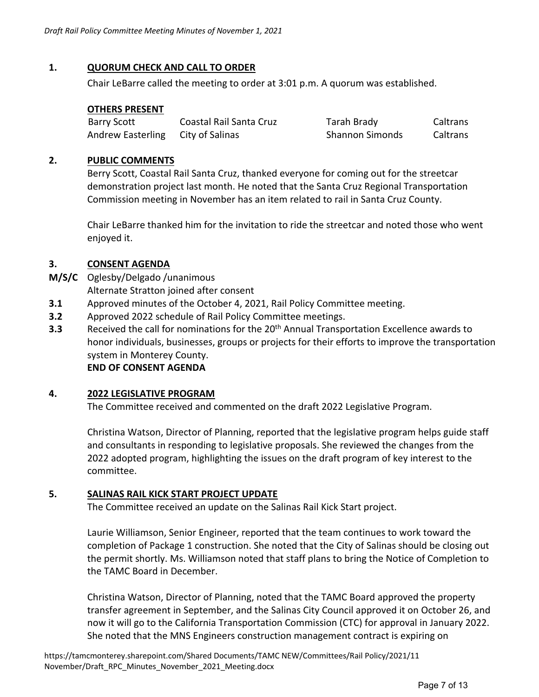## **1. QUORUM CHECK AND CALL TO ORDER**

Chair LeBarre called the meeting to order at 3:01 p.m. A quorum was established.

## **OTHERS PRESENT**

| <b>Barry Scott</b>       | Coastal Rail Santa Cruz | Tarah Brady            | Caltrans |
|--------------------------|-------------------------|------------------------|----------|
| <b>Andrew Easterling</b> | City of Salinas         | <b>Shannon Simonds</b> | Caltrans |

## **2. PUBLIC COMMENTS**

Berry Scott, Coastal Rail Santa Cruz, thanked everyone for coming out for the streetcar demonstration project last month. He noted that the Santa Cruz Regional Transportation Commission meeting in November has an item related to rail in Santa Cruz County.

Chair LeBarre thanked him for the invitation to ride the streetcar and noted those who went enjoyed it.

## **3. CONSENT AGENDA**

**M/S/C**  Oglesby/Delgado /unanimous

Alternate Stratton joined after consent

- **3.1**  Approved minutes of the October 4, 2021, Rail Policy Committee meeting.
- **3.2**  Approved 2022 schedule of Rail Policy Committee meetings.
- **3.3** Received the call for nominations for the 20<sup>th</sup> Annual Transportation Excellence awards to honor individuals, businesses, groups or projects for their efforts to improve the transportation system in Monterey County.

 **END OF CONSENT AGENDA** 

## **4. 2022 LEGISLATIVE PROGRAM**

The Committee received and commented on the draft 2022 Legislative Program.

Christina Watson, Director of Planning, reported that the legislative program helps guide staff and consultants in responding to legislative proposals. She reviewed the changes from the 2022 adopted program, highlighting the issues on the draft program of key interest to the committee.

## **5. SALINAS RAIL KICK START PROJECT UPDATE**

The Committee received an update on the Salinas Rail Kick Start project.

Laurie Williamson, Senior Engineer, reported that the team continues to work toward the completion of Package 1 construction. She noted that the City of Salinas should be closing out the permit shortly. Ms. Williamson noted that staff plans to bring the Notice of Completion to the TAMC Board in December.

Christina Watson, Director of Planning, noted that the TAMC Board approved the property transfer agreement in September, and the Salinas City Council approved it on October 26, and now it will go to the California Transportation Commission (CTC) for approval in January 2022. She noted that the MNS Engineers construction management contract is expiring on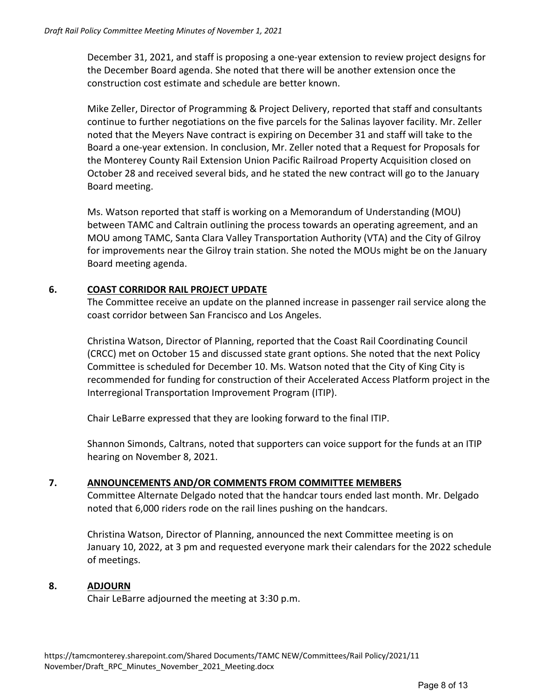December 31, 2021, and staff is proposing a one‐year extension to review project designs for the December Board agenda. She noted that there will be another extension once the construction cost estimate and schedule are better known.

Mike Zeller, Director of Programming & Project Delivery, reported that staff and consultants continue to further negotiations on the five parcels for the Salinas layover facility. Mr. Zeller noted that the Meyers Nave contract is expiring on December 31 and staff will take to the Board a one‐year extension. In conclusion, Mr. Zeller noted that a Request for Proposals for the Monterey County Rail Extension Union Pacific Railroad Property Acquisition closed on October 28 and received several bids, and he stated the new contract will go to the January Board meeting.

Ms. Watson reported that staff is working on a Memorandum of Understanding (MOU) between TAMC and Caltrain outlining the process towards an operating agreement, and an MOU among TAMC, Santa Clara Valley Transportation Authority (VTA) and the City of Gilroy for improvements near the Gilroy train station. She noted the MOUs might be on the January Board meeting agenda.

#### **6. COAST CORRIDOR RAIL PROJECT UPDATE**

The Committee receive an update on the planned increase in passenger rail service along the coast corridor between San Francisco and Los Angeles.

Christina Watson, Director of Planning, reported that the Coast Rail Coordinating Council (CRCC) met on October 15 and discussed state grant options. She noted that the next Policy Committee is scheduled for December 10. Ms. Watson noted that the City of King City is recommended for funding for construction of their Accelerated Access Platform project in the Interregional Transportation Improvement Program (ITIP).

Chair LeBarre expressed that they are looking forward to the final ITIP.

Shannon Simonds, Caltrans, noted that supporters can voice support for the funds at an ITIP hearing on November 8, 2021.

#### **7. ANNOUNCEMENTS AND/OR COMMENTS FROM COMMITTEE MEMBERS**

Committee Alternate Delgado noted that the handcar tours ended last month. Mr. Delgado noted that 6,000 riders rode on the rail lines pushing on the handcars.

Christina Watson, Director of Planning, announced the next Committee meeting is on January 10, 2022, at 3 pm and requested everyone mark their calendars for the 2022 schedule of meetings.

#### **8. ADJOURN**

Chair LeBarre adjourned the meeting at 3:30 p.m.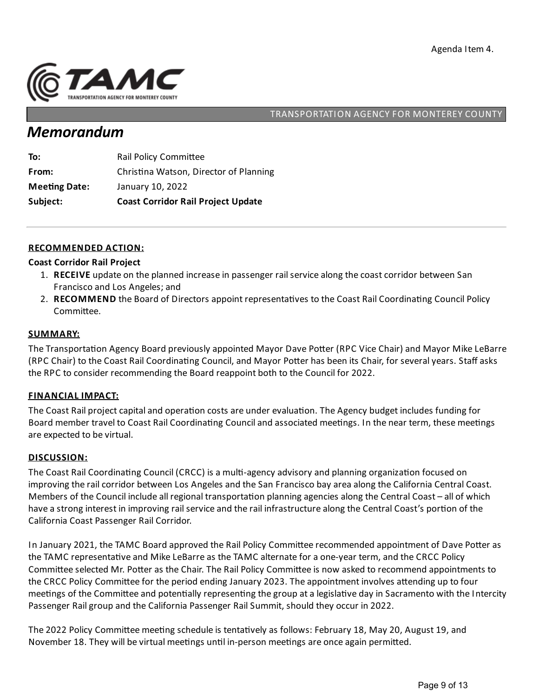

## *Memorandum*

| From:                | Christina Watson, Director of Planning    |
|----------------------|-------------------------------------------|
| <b>Meeting Date:</b> | January 10, 2022                          |
| Subject:             | <b>Coast Corridor Rail Project Update</b> |

#### **RECOMMENDED ACTION:**

#### **Coast Corridor Rail Project**

- 1. RECEIVE update on the planned increase in passenger rail service along the coast corridor between San Francisco and Los Angeles;and
- 2. RECOMMEND the Board of Directors appoint representatives to the Coast Rail Coordinating Council Policy Committee.

#### **SUMMARY:**

The Transportation Agency Board previously appointed Mayor Dave Potter (RPC Vice Chair) and Mayor Mike LeBarre (RPC Chair) to the Coast Rail Coordinating Council, and Mayor Potter has been its Chair, for several years. Staff asks the RPC to consider recommending the Board reappoint both to the Council for 2022.

#### **FINANCIAL IMPACT:**

The Coast Rail project capital and operation costs are under evaluation. The Agency budget includes funding for Board member travel to Coast Rail Coordinating Council and associated meetings. In the near term, these meetings are expected to be virtual.

#### **DISCUSSION:**

The Coast Rail Coordinating Council (CRCC) is a multi-agency advisory and planning organization focused on improving the rail corridor between Los Angeles and the San Francisco bay area along the California Central Coast. Members of the Council include all regional transportation planning agencies along the Central Coast – all of which have a strong interest in improving rail service and the rail infrastructure along the Central Coast's portion of the California Coast Passenger Rail Corridor.

In January 2021, the TAMC Board approved the Rail Policy Committee recommended appointment of Dave Potter as the TAMC representative and Mike LeBarre as the TAMC alternate for a one-year term, and the CRCC Policy Committee selected Mr. Potter as the Chair. The Rail Policy Committee is now asked to recommend appointments to the CRCC Policy Committee for the period ending January 2023. The appointment involves attending up to four meetings of the Committee and potentially representing the group at a legislative day in Sacramento with the Intercity Passenger Rail group and the California Passenger Rail Summit, should they occur in 2022.

The 2022 Policy Committee meeting schedule is tentatively as follows: February 18, May 20, August 19, and November 18. They will be virtual meetings until in-person meetings are once again permitted.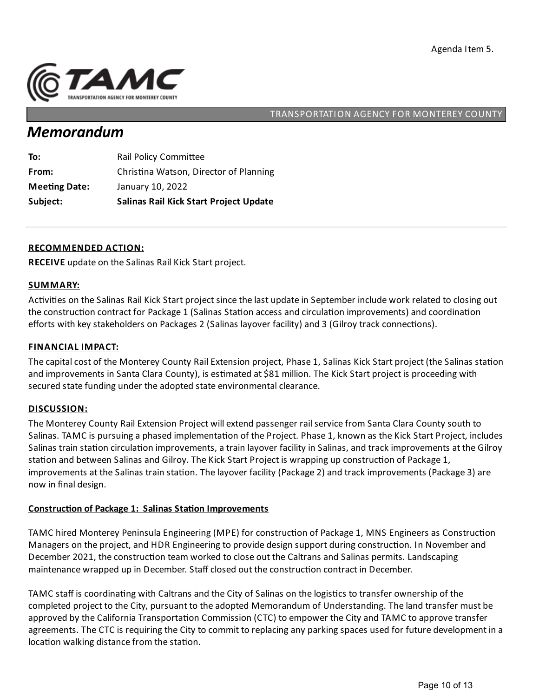

## *Memorandum*

| To:                  | <b>Rail Policy Committee</b>                  |
|----------------------|-----------------------------------------------|
| From:                | Christina Watson, Director of Planning        |
| <b>Meeting Date:</b> | January 10, 2022                              |
| Subject:             | <b>Salinas Rail Kick Start Project Update</b> |

#### **RECOMMENDED ACTION:**

**RECEIVE** update on the Salinas Rail Kick Start project.

#### **SUMMARY:**

Activities on the Salinas Rail Kick Start project since the last update in September include work related to closing out the construction contract for Package 1 (Salinas Station access and circulation improvements) and coordination efforts with key stakeholders on Packages 2 (Salinas layover facility) and 3 (Gilroy track connections).

#### **FINANCIAL IMPACT:**

The capital cost of the Monterey County Rail Extension project, Phase 1, Salinas Kick Start project (the Salinas station and improvements in Santa Clara County), is estimated at \$81 million. The Kick Start project is proceeding with secured state funding under the adopted state environmental clearance.

#### **DISCUSSION:**

The Monterey County RailExtension Project will extend passenger rail service from Santa Clara County south to Salinas. TAMC is pursuing a phased implementation of the Project. Phase 1, known as the Kick Start Project, includes Salinas train station circulation improvements, a train layover facility in Salinas, and track improvements at the Gilroy station and between Salinas and Gilroy. The Kick Start Project is wrapping up construction of Package 1, improvements at the Salinas train station. The layover facility (Package 2) and track improvements (Package 3) are now in final design.

## **Construction of Package 1: Salinas Station Improvements**

TAMC hired Monterey Peninsula Engineering (MPE) for construction of Package 1, MNS Engineers as Construction Managers on the project, and HDR Engineering to provide design support during construction. In November and December 2021, the construction team worked to close out the Caltrans and Salinas permits. Landscaping maintenance wrapped up in December. Staff closed out the construction contract in December.

TAMC staff is coordinating with Caltrans and the City of Salinas on the logistics to transfer ownership of the completed project to the City, pursuant to the adopted Memorandum of Understanding. The land transfer must be approved by the California Transportation Commission (CTC) to empower the City and TAMC to approve transfer agreements. The CTC is requiring the City to commit to replacing any parking spaces used for future development in a location walking distance from the station.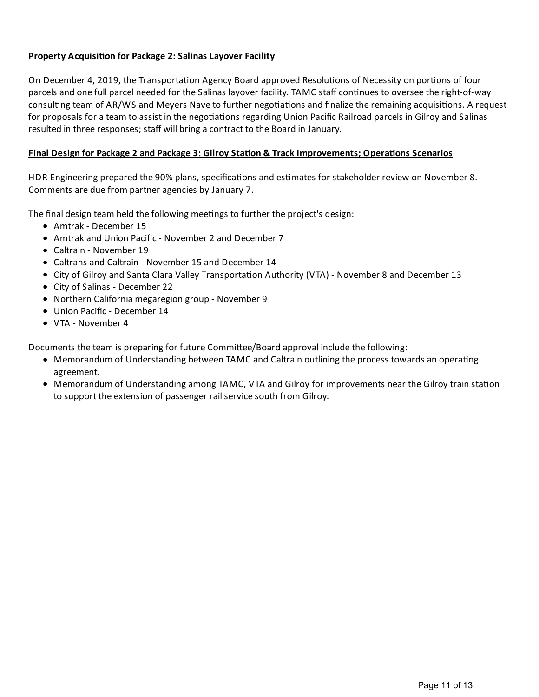## **Property Acquisi on for Package 2:Salinas Layover Facility**

On December 4, 2019, the Transportation Agency Board approved Resolutions of Necessity on portions of four parcels and one full parcel needed for the Salinas layover facility. TAMC staff continues to oversee the right-of-way consulting team of AR/WS and Meyers Nave to further negotiations and finalize the remaining acquisitions. A request for proposals for a team to assist in the negotiations regarding Union Pacific Railroad parcels in Gilroy and Salinas resulted in three responses; staff will bring a contract to the Board in January.

## **Final Design for Package 2 and Package 3: Gilroy Sta on & TrackImprovements; Opera ons Scenarios**

HDR Engineering prepared the 90% plans, specifications and estimates for stakeholder review on November 8. Comments are due from partner agencies by January 7.

The final design team held the following meetings to further the project's design:

- Amtrak December 15
- Amtrak and Union Pacific November 2 and December 7
- Caltrain November 19
- Caltrans and Caltrain November 15 and December 14
- City of Gilroy and Santa Clara Valley Transportation Authority (VTA) November 8 and December 13
- City of Salinas December 22
- Northern California megaregion group November 9
- Union Pacific December 14
- VTA November 4

Documents the team is preparing for future Committee/Board approval include the following:

- $\bullet$  Memorandum of Understanding between TAMC and Caltrain outlining the process towards an operating agreement.
- Memorandum of Understanding among TAMC, VTA and Gilroy for improvements near the Gilroy train station to support the extension of passenger rail service south from Gilroy.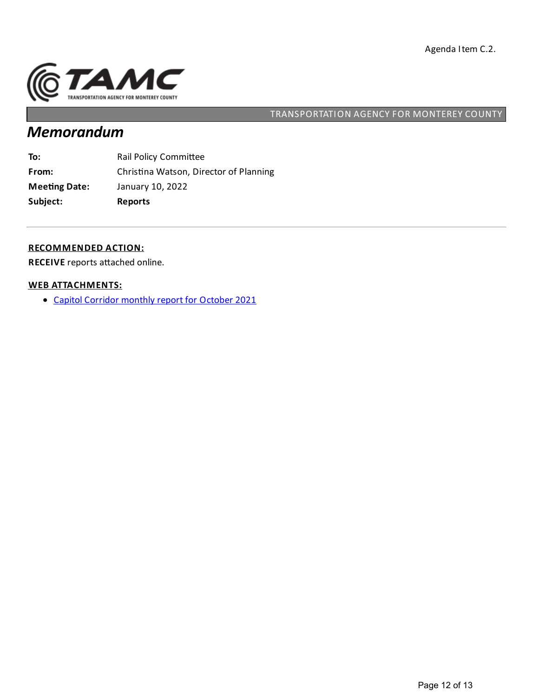

# *Memorandum*

| Subject:             | <b>Reports</b>                         |
|----------------------|----------------------------------------|
| <b>Meeting Date:</b> | January 10, 2022                       |
| From:                | Christina Watson, Director of Planning |
| To:                  | <b>Rail Policy Committee</b>           |

#### **RECOMMENDED ACTION:**

**RECEIVE** reports attached online.

#### **WEB ATTACHMENTS:**

Capitol [Corridor](https://tamcmonterey.sharepoint.com/:b:/g/ERBQTVhATQ5MrLHalCOLE0MBUtjXuXBOQYvapjOOYX41_Q?e=ElNDbI) monthly report for October 2021